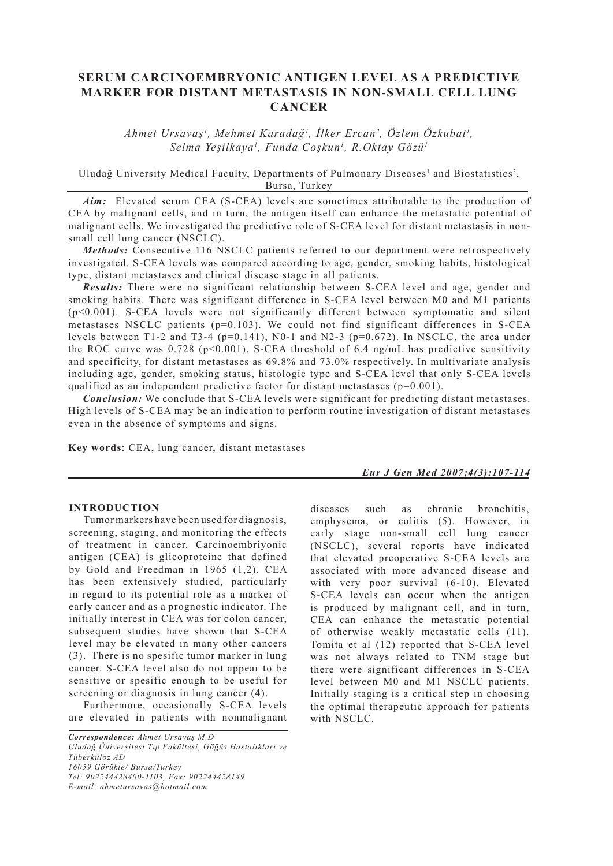# **SERUM CARCINOEMBRYONIC ANTIGEN LEVEL AS A PREDICTIVE MARKER FOR DISTANT METASTASIS IN NON-SMALL CELL LUNG CANCER**

*Ahmet Ursavaş1 , Mehmet Karadağ1 , İlker Ercan2 , Özlem Özkubat1 , Selma Yeşilkaya1 , Funda Coşkun1 , R.Oktay Gözü1*

Uludağ University Medical Faculty, Departments of Pulmonary Diseases<sup>1</sup> and Biostatistics<sup>2</sup>, Bursa, Turkey

*Aim:* Elevated serum CEA (S-CEA) levels are sometimes attributable to the production of CEA by malignant cells, and in turn, the antigen itself can enhance the metastatic potential of malignant cells. We investigated the predictive role of S-CEA level for distant metastasis in nonsmall cell lung cancer (NSCLC).

*Methods:* Consecutive 116 NSCLC patients referred to our department were retrospectively investigated. S-CEA levels was compared according to age, gender, smoking habits, histological type, distant metastases and clinical disease stage in all patients.

*Results:* There were no significant relationship between S-CEA level and age, gender and smoking habits. There was significant difference in S-CEA level between M0 and M1 patients (p<0.001). S-CEA levels were not significantly different between symptomatic and silent metastases NSCLC patients  $(p=0.103)$ . We could not find significant differences in S-CEA levels between T1-2 and T3-4 ( $p=0.141$ ), N0-1 and N2-3 ( $p=0.672$ ). In NSCLC, the area under the ROC curve was  $0.728$  (p<0.001), S-CEA threshold of 6.4 ng/mL has predictive sensitivity and specificity, for distant metastases as 69.8% and 73.0% respectively. In multivariate analysis including age, gender, smoking status, histologic type and S-CEA level that only S-CEA levels qualified as an independent predictive factor for distant metastases ( $p=0.001$ ).

*Conclusion:* We conclude that S-CEA levels were significant for predicting distant metastases. High levels of S-CEA may be an indication to perform routine investigation of distant metastases even in the absence of symptoms and signs.

**Key words**: CEA, lung cancer, distant metastases

### *Eur J Gen Med 2007;4(3):107-114*

#### **INTRODUCTION**

Tumor markers have been used for diagnosis, screening, staging, and monitoring the effects of treatment in cancer. Carcinoembriyonic antigen (CEA) is glicoproteine that defined by Gold and Freedman in 1965 (1,2). CEA has been extensively studied, particularly in regard to its potential role as a marker of early cancer and as a prognostic indicator. The initially interest in CEA was for colon cancer, subsequent studies have shown that S-CEA level may be elevated in many other cancers (3). There is no spesific tumor marker in lung cancer. S-CEA level also do not appear to be sensitive or spesific enough to be useful for screening or diagnosis in lung cancer (4).

Furthermore, occasionally S-CEA levels are elevated in patients with nonmalignant

*Correspondence: Ahmet Ursavaş M.D Uludağ Üniversitesi Tıp Fakültesi, Göğüs Hastalıkları ve Tüberküloz AD 16059 Görükle/ Bursa/Turkey Tel: 902244428400-1103, Fax: 902244428149 E-mail: ahmetursavas@hotmail.com*

diseases such as chronic bronchitis, emphysema, or colitis (5). However, in early stage non-small cell lung cancer (NSCLC), several reports have indicated that elevated preoperative S-CEA levels are associated with more advanced disease and with very poor survival (6-10). Elevated S-CEA levels can occur when the antigen is produced by malignant cell, and in turn, CEA can enhance the metastatic potential of otherwise weakly metastatic cells (11). Tomita et al (12) reported that S-CEA level was not always related to TNM stage but there were significant differences in S-CEA level between M0 and M1 NSCLC patients. Initially staging is a critical step in choosing the optimal therapeutic approach for patients with NSCLC.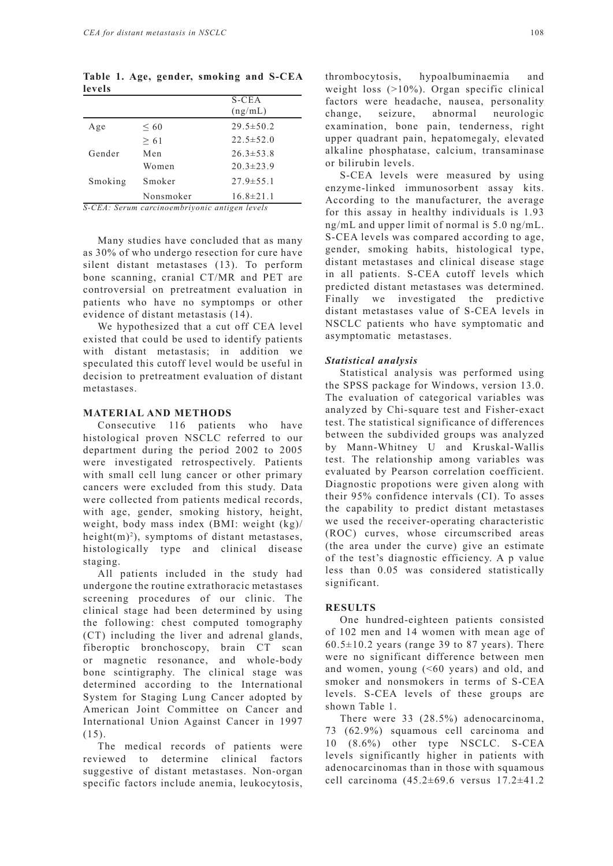**Table 1. Age, gender, smoking and S-CEA levels** 

|                                               |           | $S$ -CEA        |  |  |
|-----------------------------------------------|-----------|-----------------|--|--|
|                                               |           | (ng/mL)         |  |  |
| Age                                           | $\leq 60$ | $29.5 \pm 50.2$ |  |  |
|                                               | $\geq 61$ | $22.5 \pm 52.0$ |  |  |
| Gender                                        | Men       | $26.3 \pm 53.8$ |  |  |
|                                               | Women     | $20.3 \pm 23.9$ |  |  |
| Smoking                                       | Smoker    | $27.9 \pm 55.1$ |  |  |
|                                               | Nonsmoker | $16.8 \pm 21.1$ |  |  |
| S-CEA: Serum carcinoembriyonic antigen levels |           |                 |  |  |

Many studies have concluded that as many as 30% of who undergo resection for cure have silent distant metastases (13). To perform bone scanning, cranial CT/MR and PET are controversial on pretreatment evaluation in patients who have no symptomps or other evidence of distant metastasis (14).

We hypothesized that a cut off CEA level existed that could be used to identify patients with distant metastasis; in addition we speculated this cutoff level would be useful in decision to pretreatment evaluation of distant metastases.

# **MATERIAL AND METHODS**

Consecutive 116 patients who have histological proven NSCLC referred to our department during the period 2002 to 2005 were investigated retrospectively. Patients with small cell lung cancer or other primary cancers were excluded from this study. Data were collected from patients medical records, with age, gender, smoking history, height, weight, body mass index (BMI: weight (kg)/ height(m)<sup>2</sup>), symptoms of distant metastases, histologically type and clinical disease staging.

All patients included in the study had undergone the routine extrathoracic metastases screening procedures of our clinic. The clinical stage had been determined by using the following: chest computed tomography (CT) including the liver and adrenal glands, fiberoptic bronchoscopy, brain CT scan or magnetic resonance, and whole-body bone scintigraphy. The clinical stage was determined according to the International System for Staging Lung Cancer adopted by American Joint Committee on Cancer and International Union Against Cancer in 1997 (15).

The medical records of patients were reviewed to determine clinical factors suggestive of distant metastases. Non-organ specific factors include anemia, leukocytosis, thrombocytosis, hypoalbuminaemia and weight loss (>10%). Organ specific clinical factors were headache, nausea, personality change, seizure, abnormal neurologic examination, bone pain, tenderness, right upper quadrant pain, hepatomegaly, elevated alkaline phosphatase, calcium, transaminase or bilirubin levels.

S-CEA levels were measured by using enzyme-linked immunosorbent assay kits. According to the manufacturer, the average for this assay in healthy individuals is 1.93 ng/mL and upper limit of normal is 5.0 ng/mL. S-CEA levels was compared according to age, gender, smoking habits, histological type, distant metastases and clinical disease stage in all patients. S-CEA cutoff levels which predicted distant metastases was determined. Finally we investigated the predictive distant metastases value of S-CEA levels in NSCLC patients who have symptomatic and asymptomatic metastases.

### *Statistical analysis*

Statistical analysis was performed using the SPSS package for Windows, version 13.0. The evaluation of categorical variables was analyzed by Chi-square test and Fisher-exact test. The statistical significance of differences between the subdivided groups was analyzed by Mann-Whitney U and Kruskal-Wallis test. The relationship among variables was evaluated by Pearson correlation coefficient. Diagnostic propotions were given along with their 95% confidence intervals (CI). To asses the capability to predict distant metastases we used the receiver-operating characteristic (ROC) curves, whose circumscribed areas (the area under the curve) give an estimate of the test's diagnostic efficiency. A p value less than 0.05 was considered statistically significant.

# **RESULTS**

One hundred-eighteen patients consisted of 102 men and 14 women with mean age of  $60.5 \pm 10.2$  years (range 39 to 87 years). There were no significant difference between men and women, young  $(50 \text{ years})$  and old, and smoker and nonsmokers in terms of S-CEA levels. S-CEA levels of these groups are shown Table 1.

There were 33 (28.5%) adenocarcinoma, 73 (62.9%) squamous cell carcinoma and 10 (8.6%) other type NSCLC. S-CEA levels significantly higher in patients with adenocarcinomas than in those with squamous cell carcinoma (45.2±69.6 versus 17.2±41.2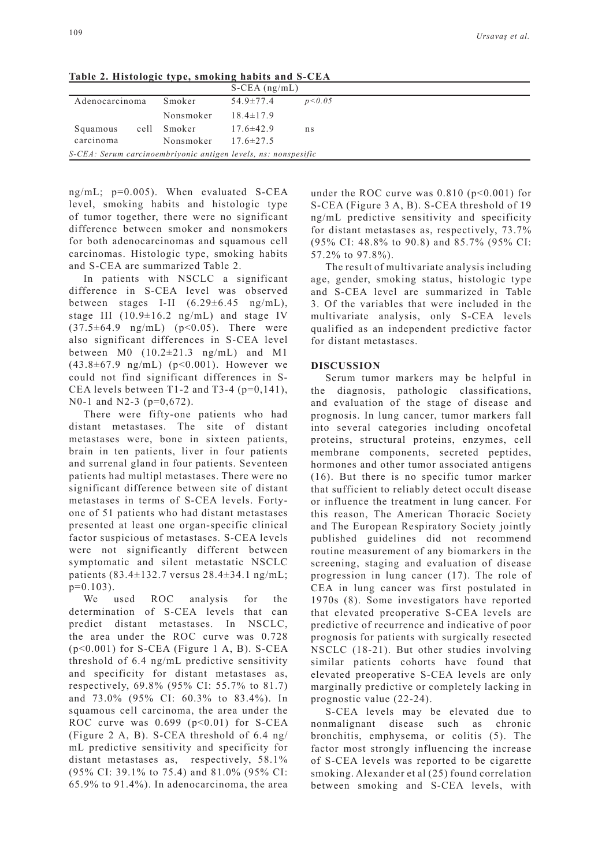| $\frac{1}{2}$ and $\frac{1}{2}$ and $\frac{1}{2}$ and $\frac{1}{2}$ are $\frac{1}{2}$ and $\frac{1}{2}$ and $\frac{1}{2}$ and $\frac{1}{2}$ and $\frac{1}{2}$ |           |                    |          |  |  |  |
|---------------------------------------------------------------------------------------------------------------------------------------------------------------|-----------|--------------------|----------|--|--|--|
|                                                                                                                                                               |           | $S$ -CEA $(ng/mL)$ |          |  |  |  |
| Adenocarcinoma                                                                                                                                                | Smoker    | $54.9 \pm 77.4$    | p < 0.05 |  |  |  |
|                                                                                                                                                               | Nonsmoker | $18.4 \pm 17.9$    |          |  |  |  |
| cell<br>Squamous                                                                                                                                              | Smoker    | $17.6 \pm 42.9$    | ns       |  |  |  |
| carcinoma                                                                                                                                                     | Nonsmoker | $17.6 \pm 27.5$    |          |  |  |  |
| S-CEA: Serum carcinoembriyonic antigen levels, ns: nonspesific                                                                                                |           |                    |          |  |  |  |

**Table 2. Histologic type, smoking habits and S-CEA**

ng/mL; p=0.005). When evaluated S-CEA level, smoking habits and histologic type of tumor together, there were no significant difference between smoker and nonsmokers for both adenocarcinomas and squamous cell carcinomas. Histologic type, smoking habits and S-CEA are summarized Table 2.

In patients with NSCLC a significant difference in S-CEA level was observed between stages I-II  $(6.29 \pm 6.45 \text{ ng/mL})$ . stage III (10.9±16.2 ng/mL) and stage IV  $(37.5\pm64.9 \text{ ng/mL})$   $(p<0.05)$ . There were also significant differences in S-CEA level between  $M0$  (10.2 $\pm$ 21.3 ng/mL) and M1 (43.8±67.9 ng/mL) (p<0.001). However we could not find significant differences in S-CEA levels between T1-2 and T3-4 ( $p=0.141$ ). N0-1 and N2-3 (p=0,672).

There were fifty-one patients who had distant metastases. The site of distant metastases were, bone in sixteen patients, brain in ten patients, liver in four patients and surrenal gland in four patients. Seventeen patients had multipl metastases. There were no significant difference between site of distant metastases in terms of S-CEA levels. Fortyone of 51 patients who had distant metastases presented at least one organ-specific clinical factor suspicious of metastases. S-CEA levels were not significantly different between symptomatic and silent metastatic NSCLC patients (83.4±132.7 versus 28.4±34.1 ng/mL;  $p=0.103$ ).

We used ROC analysis for the determination of S-CEA levels that can predict distant metastases. In NSCLC, the area under the ROC curve was 0.728 (p<0.001) for S-CEA (Figure 1 A, B). S-CEA threshold of 6.4 ng/mL predictive sensitivity and specificity for distant metastases as, respectively, 69.8% (95% CI: 55.7% to 81.7) and 73.0% (95% CI: 60.3% to 83.4%). In squamous cell carcinoma, the area under the ROC curve was  $0.699$  ( $p<0.01$ ) for S-CEA (Figure 2 A, B). S-CEA threshold of 6.4 ng/ mL predictive sensitivity and specificity for distant metastases as, respectively, 58.1% (95% CI: 39.1% to 75.4) and 81.0% (95% CI: 65.9% to 91.4%). In adenocarcinoma, the area

under the ROC curve was  $0.810$  (p<0.001) for S-CEA (Figure 3 A, B). S-CEA threshold of 19 ng/mL predictive sensitivity and specificity for distant metastases as, respectively, 73.7% (95% CI: 48.8% to 90.8) and 85.7% (95% CI: 57.2% to 97.8%).

The result of multivariate analysis including age, gender, smoking status, histologic type and S-CEA level are summarized in Table 3. Of the variables that were included in the multivariate analysis, only S-CEA levels qualified as an independent predictive factor for distant metastases.

# **DISCUSSION**

Serum tumor markers may be helpful in the diagnosis, pathologic classifications, and evaluation of the stage of disease and prognosis. In lung cancer, tumor markers fall into several categories including oncofetal proteins, structural proteins, enzymes, cell membrane components, secreted peptides, hormones and other tumor associated antigens (16). But there is no specific tumor marker that sufficient to reliably detect occult disease or influence the treatment in lung cancer. For this reason, The American Thoracic Society and The European Respiratory Society jointly published guidelines did not recommend routine measurement of any biomarkers in the screening, staging and evaluation of disease progression in lung cancer (17). The role of CEA in lung cancer was first postulated in 1970s (8). Some investigators have reported that elevated preoperative S-CEA levels are predictive of recurrence and indicative of poor prognosis for patients with surgically resected NSCLC (18-21). But other studies involving similar patients cohorts have found that elevated preoperative S-CEA levels are only marginally predictive or completely lacking in prognostic value (22-24).

S-CEA levels may be elevated due to nonmalignant disease such as chronic bronchitis, emphysema, or colitis (5). The factor most strongly influencing the increase of S-CEA levels was reported to be cigarette smoking. Alexander et al (25) found correlation between smoking and S-CEA levels, with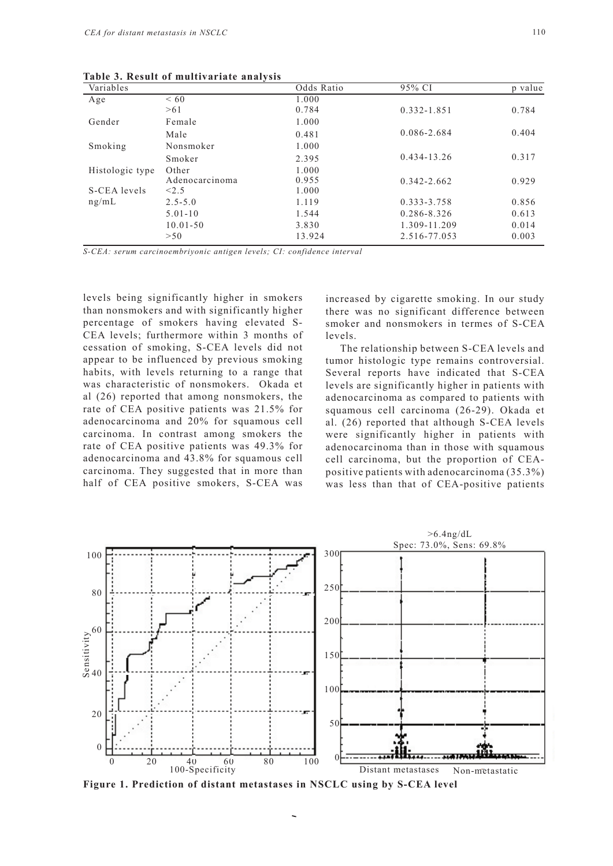| Variables       |                | Odds Ratio | 95% CI          | p value |
|-----------------|----------------|------------|-----------------|---------|
| Age             | < 60           | 1.000      |                 |         |
|                 | >61            | 0.784      | 0.332-1.851     | 0.784   |
| Gender          | Female         | 1.000      |                 |         |
|                 | Male           | 0.481      | $0.086 - 2.684$ | 0.404   |
| Smoking         | Nonsmoker      | 1.000      |                 |         |
|                 | Smoker         | 2.395      | $0.434 - 13.26$ | 0.317   |
| Histologic type | Other          | 1.000      |                 |         |
|                 | Adenocarcinoma | 0.955      | $0.342 - 2.662$ | 0.929   |
| S-CEA levels    | < 2.5          | 1.000      |                 |         |
| ng/mL           | $2.5 - 5.0$    | 1.119      | 0.333-3.758     | 0.856   |
|                 | $5.01 - 10$    | 1.544      | $0.286 - 8.326$ | 0.613   |
|                 | $10.01 - 50$   | 3.830      | 1.309-11.209    | 0.014   |
|                 | >50            | 13.924     | 2.516-77.053    | 0.003   |

**Table 3. Result of multivariate analysis**

*S-CEA: serum carcinoembriyonic antigen levels; CI: confidence interval*

levels being significantly higher in smokers than nonsmokers and with significantly higher percentage of smokers having elevated S-CEA levels; furthermore within 3 months of cessation of smoking, S-CEA levels did not appear to be influenced by previous smoking habits, with levels returning to a range that was characteristic of nonsmokers. Okada et al (26) reported that among nonsmokers, the rate of CEA positive patients was 21.5% for adenocarcinoma and 20% for squamous cell carcinoma. In contrast among smokers the rate of CEA positive patients was 49.3% for adenocarcinoma and 43.8% for squamous cell carcinoma. They suggested that in more than half of CEA positive smokers, S-CEA was

increased by cigarette smoking. In our study there was no significant difference between smoker and nonsmokers in termes of S-CEA levels.

The relationship between S-CEA levels and tumor histologic type remains controversial. Several reports have indicated that S-CEA levels are significantly higher in patients with adenocarcinoma as compared to patients with squamous cell carcinoma (26-29). Okada et al. (26) reported that although S-CEA levels were significantly higher in patients with adenocarcinoma than in those with squamous cell carcinoma, but the proportion of CEApositive patients with adenocarcinoma (35.3%) was less than that of CEA-positive patients



**Figure 1. Prediction of distant metastases in NSCLC using by S-CEA level**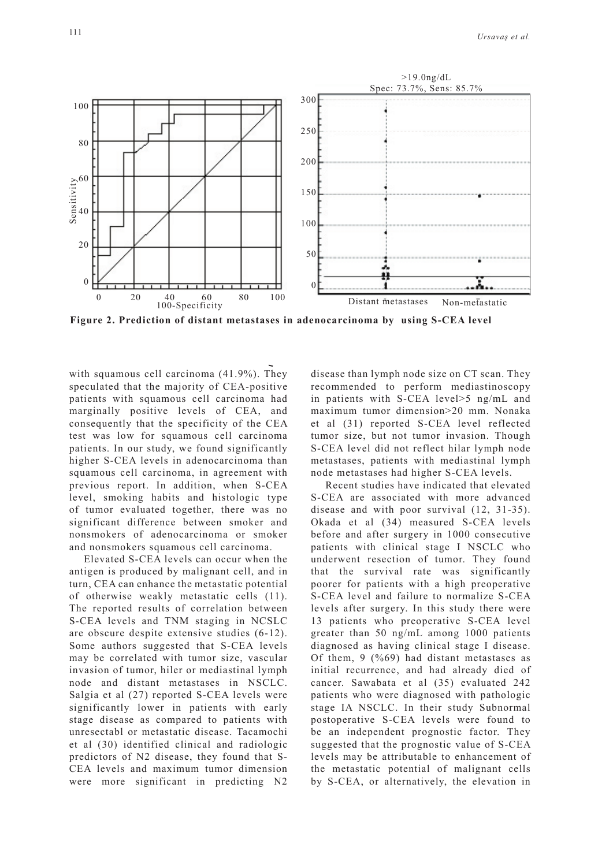

**Figure 2. Prediction of distant metastases in adenocarcinoma by using S-CEA level**

with squamous cell carcinoma (41.9%). They speculated that the majority of CEA-positive patients with squamous cell carcinoma had marginally positive levels of CEA, and consequently that the specificity of the CEA test was low for squamous cell carcinoma patients. In our study, we found significantly higher S-CEA levels in adenocarcinoma than squamous cell carcinoma, in agreement with previous report. In addition, when S-CEA level, smoking habits and histologic type of tumor evaluated together, there was no significant difference between smoker and nonsmokers of adenocarcinoma or smoker and nonsmokers squamous cell carcinoma.

Elevated S-CEA levels can occur when the antigen is produced by malignant cell, and in turn, CEA can enhance the metastatic potential of otherwise weakly metastatic cells (11). The reported results of correlation between S-CEA levels and TNM staging in NCSLC are obscure despite extensive studies (6-12). Some authors suggested that S-CEA levels may be correlated with tumor size, vascular invasion of tumor, hiler or mediastinal lymph node and distant metastases in NSCLC. Salgia et al (27) reported S-CEA levels were significantly lower in patients with early stage disease as compared to patients with unresectabl or metastatic disease. Tacamochi et al (30) identified clinical and radiologic predictors of N2 disease, they found that S-CEA levels and maximum tumor dimension were more significant in predicting N2 disease than lymph node size on CT scan. They recommended to perform mediastinoscopy in patients with S-CEA level>5 ng/mL and maximum tumor dimension>20 mm. Nonaka et al (31) reported S-CEA level reflected tumor size, but not tumor invasion. Though S-CEA level did not reflect hilar lymph node metastases, patients with mediastinal lymph node metastases had higher S-CEA levels.

Recent studies have indicated that elevated S-CEA are associated with more advanced disease and with poor survival (12, 31-35). Okada et al (34) measured S-CEA levels before and after surgery in 1000 consecutive patients with clinical stage I NSCLC who underwent resection of tumor. They found that the survival rate was significantly poorer for patients with a high preoperative S-CEA level and failure to normalize S-CEA levels after surgery. In this study there were 13 patients who preoperative S-CEA level greater than 50 ng/mL among 1000 patients diagnosed as having clinical stage I disease. Of them, 9 (%69) had distant metastases as initial recurrence, and had already died of cancer. Sawabata et al (35) evaluated 242 patients who were diagnosed with pathologic stage IA NSCLC. In their study Subnormal postoperative S-CEA levels were found to be an independent prognostic factor. They suggested that the prognostic value of S-CEA levels may be attributable to enhancement of the metastatic potential of malignant cells by S-CEA, or alternatively, the elevation in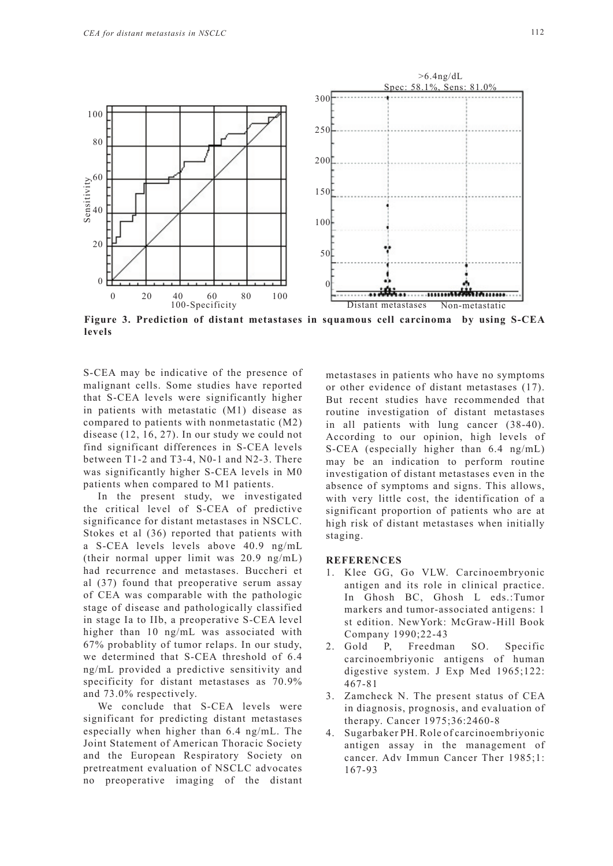

**Figure 3. Prediction of distant metastases in squamous cell carcinoma by using S-CEA levels**

S-CEA may be indicative of the presence of malignant cells. Some studies have reported that S-CEA levels were significantly higher in patients with metastatic (M1) disease as compared to patients with nonmetastatic (M2) disease (12, 16, 27). In our study we could not find significant differences in S-CEA levels between T1-2 and T3-4, N0-1 and N2-3. There was significantly higher S-CEA levels in M0 patients when compared to M1 patients.

In the present study, we investigated the critical level of S-CEA of predictive significance for distant metastases in NSCLC. Stokes et al (36) reported that patients with a S-CEA levels levels above 40.9 ng/mL (their normal upper limit was 20.9 ng/mL) had recurrence and metastases. Buccheri et al (37) found that preoperative serum assay of CEA was comparable with the pathologic stage of disease and pathologically classified in stage Ia to IIb, a preoperative S-CEA level higher than 10 ng/mL was associated with 67% probablity of tumor relaps. In our study, we determined that S-CEA threshold of 6.4 ng/mL provided a predictive sensitivity and specificity for distant metastases as 70.9% and 73.0% respectively.

We conclude that S-CEA levels were significant for predicting distant metastases especially when higher than 6.4 ng/mL. The Joint Statement of American Thoracic Society and the European Respiratory Society on pretreatment evaluation of NSCLC advocates no preoperative imaging of the distant metastases in patients who have no symptoms or other evidence of distant metastases (17). But recent studies have recommended that routine investigation of distant metastases in all patients with lung cancer (38-40). According to our opinion, high levels of S-CEA (especially higher than 6.4 ng/mL) may be an indication to perform routine investigation of distant metastases even in the absence of symptoms and signs. This allows, with very little cost, the identification of a significant proportion of patients who are at high risk of distant metastases when initially staging.

# **REFERENCES**

- 1. Klee GG, Go VLW. Carcinoembryonic antigen and its role in clinical practice. In Ghosh BC, Ghosh L eds.:Tumor markers and tumor-associated antigens: 1 st edition. NewYork: McGraw-Hill Book Company 1990;22-43
- 2. Gold P, Freedman SO. Specific carcinoembriyonic antigens of human digestive system. J Exp Med 1965;122: 467-81
- 3. Zamcheck N. The present status of CEA in diagnosis, prognosis, and evaluation of therapy. Cancer 1975;36:2460-8
- 4. Sugarbaker PH. Role of carcinoembriyonic antigen assay in the management of cancer. Adv Immun Cancer Ther 1985;1: 167-93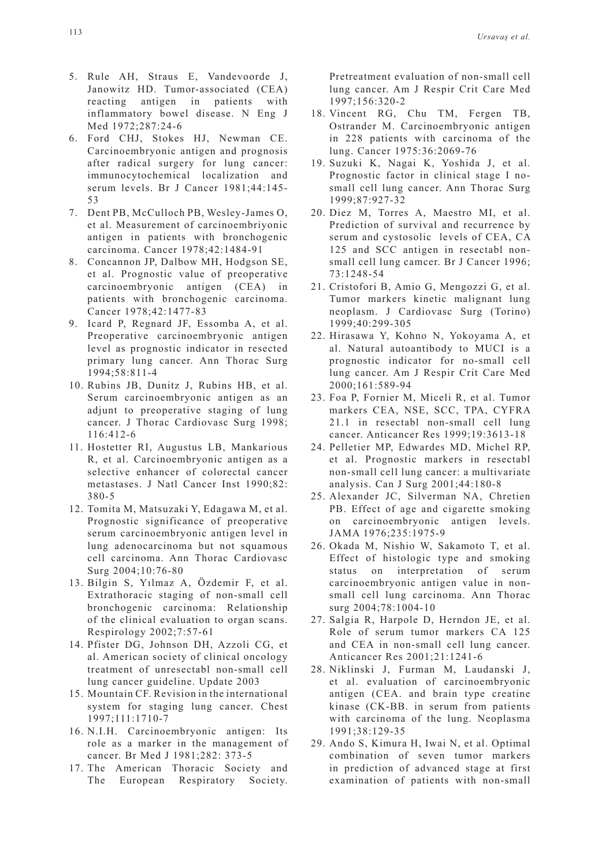- 5. Rule AH, Straus E, Vandevoorde J, Janowitz HD. Tumor-associated (CEA) reacting antigen in patients with inflammatory bowel disease. N Eng J Med 1972;287:24-6
- 6. Ford CHJ, Stokes HJ, Newman CE. Carcinoembryonic antigen and prognosis after radical surgery for lung cancer: immunocytochemical localization and serum levels. Br J Cancer 1981;44:145- 53
- 7. Dent PB, McCulloch PB, Wesley-James O, et al. Measurement of carcinoembriyonic antigen in patients with bronchogenic carcinoma. Cancer 1978;42:1484-91
- 8. Concannon JP, Dalbow MH, Hodgson SE, et al. Prognostic value of preoperative carcinoembryonic antigen (CEA) in patients with bronchogenic carcinoma. Cancer 1978;42:1477-83
- 9. Icard P, Regnard JF, Essomba A, et al. Preoperative carcinoembryonic antigen level as prognostic indicator in resected primary lung cancer. Ann Thorac Surg 1994;58:811-4
- 10. Rubins JB, Dunitz J, Rubins HB, et al. Serum carcinoembryonic antigen as an adjunt to preoperative staging of lung cancer. J Thorac Cardiovasc Surg 1998; 116:412-6
- 11. Hostetter RI, Augustus LB, Mankarious R, et al. Carcinoembryonic antigen as a selective enhancer of colorectal cancer metastases. J Natl Cancer Inst 1990;82: 380-5
- 12. Tomita M, Matsuzaki Y, Edagawa M, et al. Prognostic significance of preoperative serum carcinoembryonic antigen level in lung adenocarcinoma but not squamous cell carcinoma. Ann Thorac Cardiovasc Surg 2004;10:76-80
- 13. Bilgin S, Yılmaz A, Özdemir F, et al. Extrathoracic staging of non-small cell bronchogenic carcinoma: Relationship of the clinical evaluation to organ scans. Respirology 2002;7:57-61
- 14. Pfister DG, Johnson DH, Azzoli CG, et al. American society of clinical oncology treatment of unresectabl non-small cell lung cancer guideline. Update 2003
- 15. Mountain CF. Revision in the international system for staging lung cancer. Chest 1997;111:1710-7
- 16. N.I.H. Carcinoembryonic antigen: Its role as a marker in the management of cancer. Br Med J 1981;282: 373-5
- 17. The American Thoracic Society and The European Respiratory Society.

Pretreatment evaluation of non-small cell lung cancer. Am J Respir Crit Care Med 1997;156:320-2

- 18. Vincent RG, Chu TM, Fergen TB, Ostrander M. Carcinoembryonic antigen in 228 patients with carcinoma of the lung. Cancer 1975:36:2069-76
- 19. Suzuki K, Nagai K, Yoshida J, et al. Prognostic factor in clinical stage I nosmall cell lung cancer. Ann Thorac Surg 1999;87:927-32
- 20. Diez M, Torres A, Maestro MI, et al. Prediction of survival and recurrence by serum and cystosolic levels of CEA, CA 125 and SCC antigen in resectabl nonsmall cell lung camcer. Br J Cancer 1996; 73:1248-54
- 21. Cristofori B, Amio G, Mengozzi G, et al. Tumor markers kinetic malignant lung neoplasm. J Cardiovasc Surg (Torino) 1999;40:299-305
- 22. Hirasawa Y, Kohno N, Yokoyama A, et al. Natural autoantibody to MUCI is a prognostic indicator for no-small cell lung cancer. Am J Respir Crit Care Med 2000;161:589-94
- 23. Foa P, Fornier M, Miceli R, et al. Tumor markers CEA, NSE, SCC, TPA, CYFRA 21.1 in resectabl non-small cell lung cancer. Anticancer Res 1999;19:3613-18
- 24. Pelletier MP, Edwardes MD, Michel RP, et al. Prognostic markers in resectabl non-small cell lung cancer: a multivariate analysis. Can J Surg 2001;44:180-8
- 25. Alexander JC, Silverman NA, Chretien PB. Effect of age and cigarette smoking on carcinoembryonic antigen levels. JAMA 1976;235:1975-9
- 26. Okada M, Nishio W, Sakamoto T, et al. Effect of histologic type and smoking status on interpretation of serum carcinoembryonic antigen value in nonsmall cell lung carcinoma. Ann Thorac surg 2004;78:1004-10
- 27. Salgia R, Harpole D, Herndon JE, et al. Role of serum tumor markers CA 125 and CEA in non-small cell lung cancer. Anticancer Res 2001;21:1241-6
- 28. Niklinski J, Furman M, Laudanski J, et al. evaluation of carcinoembryonic antigen (CEA. and brain type creatine kinase (CK-BB. in serum from patients with carcinoma of the lung. Neoplasma 1991;38:129-35
- 29. Ando S, Kimura H, Iwai N, et al. Optimal combination of seven tumor markers in prediction of advanced stage at first examination of patients with non-small